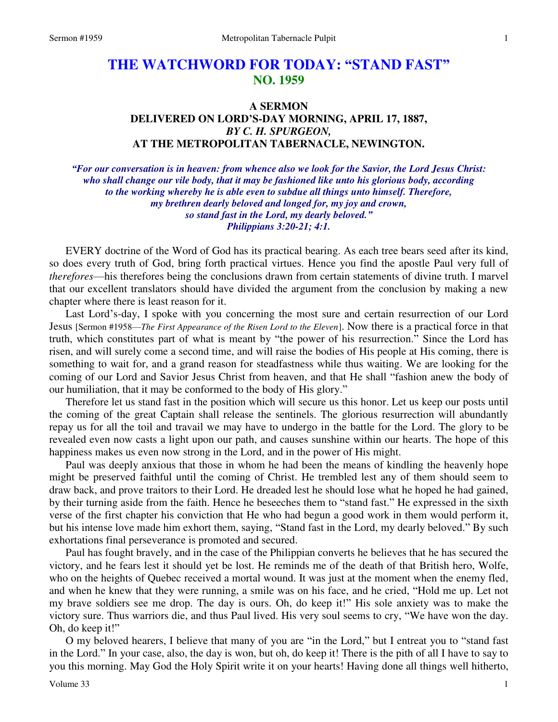# **THE WATCHWORD FOR TODAY: "STAND FAST" NO. 1959**

## **A SERMON DELIVERED ON LORD'S-DAY MORNING, APRIL 17, 1887,**  *BY C. H. SPURGEON,*  **AT THE METROPOLITAN TABERNACLE, NEWINGTON.**

*"For our conversation is in heaven: from whence also we look for the Savior, the Lord Jesus Christ: who shall change our vile body, that it may be fashioned like unto his glorious body, according to the working whereby he is able even to subdue all things unto himself. Therefore, my brethren dearly beloved and longed for, my joy and crown, so stand fast in the Lord, my dearly beloved." Philippians 3:20-21; 4:1.* 

EVERY doctrine of the Word of God has its practical bearing. As each tree bears seed after its kind, so does every truth of God, bring forth practical virtues. Hence you find the apostle Paul very full of *therefores*—his therefores being the conclusions drawn from certain statements of divine truth. I marvel that our excellent translators should have divided the argument from the conclusion by making a new chapter where there is least reason for it.

Last Lord's-day, I spoke with you concerning the most sure and certain resurrection of our Lord Jesus [Sermon #1958—*The First Appearance of the Risen Lord to the Eleven*]. Now there is a practical force in that truth, which constitutes part of what is meant by "the power of his resurrection." Since the Lord has risen, and will surely come a second time, and will raise the bodies of His people at His coming, there is something to wait for, and a grand reason for steadfastness while thus waiting. We are looking for the coming of our Lord and Savior Jesus Christ from heaven, and that He shall "fashion anew the body of our humiliation, that it may be conformed to the body of His glory."

Therefore let us stand fast in the position which will secure us this honor. Let us keep our posts until the coming of the great Captain shall release the sentinels. The glorious resurrection will abundantly repay us for all the toil and travail we may have to undergo in the battle for the Lord. The glory to be revealed even now casts a light upon our path, and causes sunshine within our hearts. The hope of this happiness makes us even now strong in the Lord, and in the power of His might.

Paul was deeply anxious that those in whom he had been the means of kindling the heavenly hope might be preserved faithful until the coming of Christ. He trembled lest any of them should seem to draw back, and prove traitors to their Lord. He dreaded lest he should lose what he hoped he had gained, by their turning aside from the faith. Hence he beseeches them to "stand fast." He expressed in the sixth verse of the first chapter his conviction that He who had begun a good work in them would perform it, but his intense love made him exhort them, saying, "Stand fast in the Lord, my dearly beloved." By such exhortations final perseverance is promoted and secured.

Paul has fought bravely, and in the case of the Philippian converts he believes that he has secured the victory, and he fears lest it should yet be lost. He reminds me of the death of that British hero, Wolfe, who on the heights of Quebec received a mortal wound. It was just at the moment when the enemy fled, and when he knew that they were running, a smile was on his face, and he cried, "Hold me up. Let not my brave soldiers see me drop. The day is ours. Oh, do keep it!" His sole anxiety was to make the victory sure. Thus warriors die, and thus Paul lived. His very soul seems to cry, "We have won the day. Oh, do keep it!"

O my beloved hearers, I believe that many of you are "in the Lord," but I entreat you to "stand fast in the Lord." In your case, also, the day is won, but oh, do keep it! There is the pith of all I have to say to you this morning. May God the Holy Spirit write it on your hearts! Having done all things well hitherto,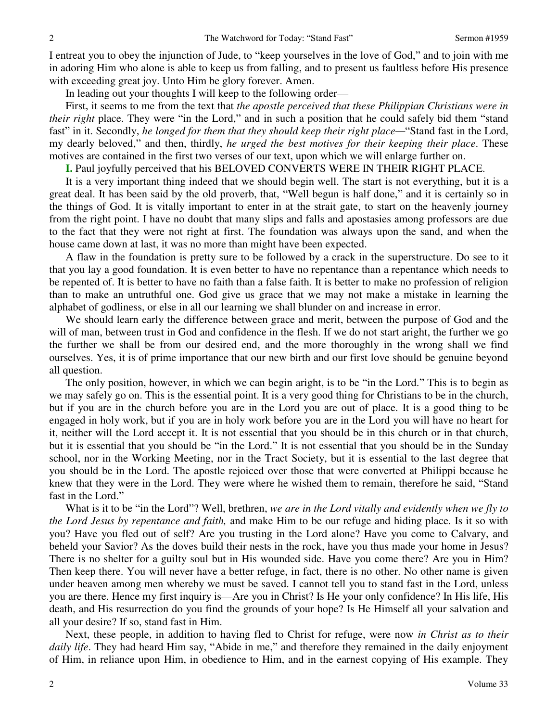I entreat you to obey the injunction of Jude, to "keep yourselves in the love of God," and to join with me in adoring Him who alone is able to keep us from falling, and to present us faultless before His presence with exceeding great joy. Unto Him be glory forever. Amen.

In leading out your thoughts I will keep to the following order—

First, it seems to me from the text that *the apostle perceived that these Philippian Christians were in their right* place. They were "in the Lord," and in such a position that he could safely bid them "stand fast" in it. Secondly, *he longed for them that they should keep their right place—*"Stand fast in the Lord, my dearly beloved," and then, thirdly, *he urged the best motives for their keeping their place*. These motives are contained in the first two verses of our text, upon which we will enlarge further on.

**I.** Paul joyfully perceived that his BELOVED CONVERTS WERE IN THEIR RIGHT PLACE.

It is a very important thing indeed that we should begin well. The start is not everything, but it is a great deal. It has been said by the old proverb, that, "Well begun is half done," and it is certainly so in the things of God. It is vitally important to enter in at the strait gate, to start on the heavenly journey from the right point. I have no doubt that many slips and falls and apostasies among professors are due to the fact that they were not right at first. The foundation was always upon the sand, and when the house came down at last, it was no more than might have been expected.

A flaw in the foundation is pretty sure to be followed by a crack in the superstructure. Do see to it that you lay a good foundation. It is even better to have no repentance than a repentance which needs to be repented of. It is better to have no faith than a false faith. It is better to make no profession of religion than to make an untruthful one. God give us grace that we may not make a mistake in learning the alphabet of godliness, or else in all our learning we shall blunder on and increase in error.

We should learn early the difference between grace and merit, between the purpose of God and the will of man, between trust in God and confidence in the flesh. If we do not start aright, the further we go the further we shall be from our desired end, and the more thoroughly in the wrong shall we find ourselves. Yes, it is of prime importance that our new birth and our first love should be genuine beyond all question.

The only position, however, in which we can begin aright, is to be "in the Lord." This is to begin as we may safely go on. This is the essential point. It is a very good thing for Christians to be in the church, but if you are in the church before you are in the Lord you are out of place. It is a good thing to be engaged in holy work, but if you are in holy work before you are in the Lord you will have no heart for it, neither will the Lord accept it. It is not essential that you should be in this church or in that church, but it is essential that you should be "in the Lord." It is not essential that you should be in the Sunday school, nor in the Working Meeting, nor in the Tract Society, but it is essential to the last degree that you should be in the Lord. The apostle rejoiced over those that were converted at Philippi because he knew that they were in the Lord. They were where he wished them to remain, therefore he said, "Stand fast in the Lord."

What is it to be "in the Lord"? Well, brethren, *we are in the Lord vitally and evidently when we fly to the Lord Jesus by repentance and faith,* and make Him to be our refuge and hiding place. Is it so with you? Have you fled out of self? Are you trusting in the Lord alone? Have you come to Calvary, and beheld your Savior? As the doves build their nests in the rock, have you thus made your home in Jesus? There is no shelter for a guilty soul but in His wounded side. Have you come there? Are you in Him? Then keep there. You will never have a better refuge, in fact, there is no other. No other name is given under heaven among men whereby we must be saved. I cannot tell you to stand fast in the Lord, unless you are there. Hence my first inquiry is—Are you in Christ? Is He your only confidence? In His life, His death, and His resurrection do you find the grounds of your hope? Is He Himself all your salvation and all your desire? If so, stand fast in Him.

Next, these people, in addition to having fled to Christ for refuge, were now *in Christ as to their daily life*. They had heard Him say, "Abide in me," and therefore they remained in the daily enjoyment of Him, in reliance upon Him, in obedience to Him, and in the earnest copying of His example. They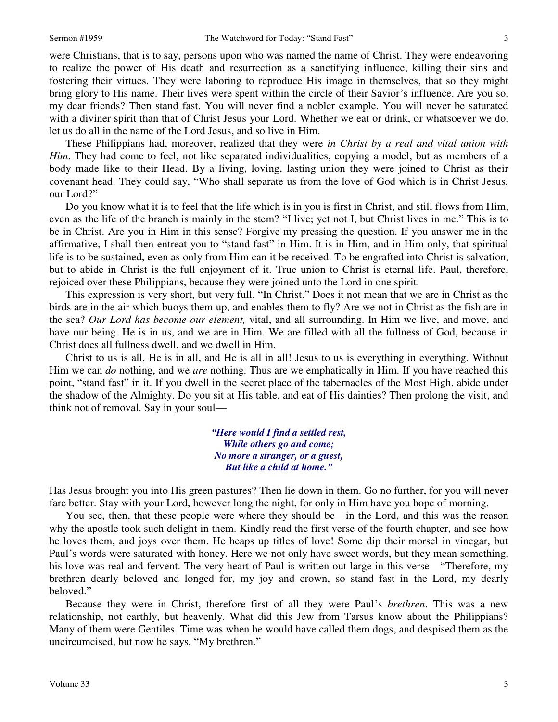were Christians, that is to say, persons upon who was named the name of Christ. They were endeavoring to realize the power of His death and resurrection as a sanctifying influence, killing their sins and fostering their virtues. They were laboring to reproduce His image in themselves, that so they might bring glory to His name. Their lives were spent within the circle of their Savior's influence. Are you so, my dear friends? Then stand fast. You will never find a nobler example. You will never be saturated with a diviner spirit than that of Christ Jesus your Lord. Whether we eat or drink, or whatsoever we do, let us do all in the name of the Lord Jesus, and so live in Him.

These Philippians had, moreover, realized that they were *in Christ by a real and vital union with Him*. They had come to feel, not like separated individualities, copying a model, but as members of a body made like to their Head. By a living, loving, lasting union they were joined to Christ as their covenant head. They could say, "Who shall separate us from the love of God which is in Christ Jesus, our Lord?"

Do you know what it is to feel that the life which is in you is first in Christ, and still flows from Him, even as the life of the branch is mainly in the stem? "I live; yet not I, but Christ lives in me." This is to be in Christ. Are you in Him in this sense? Forgive my pressing the question. If you answer me in the affirmative, I shall then entreat you to "stand fast" in Him. It is in Him, and in Him only, that spiritual life is to be sustained, even as only from Him can it be received. To be engrafted into Christ is salvation, but to abide in Christ is the full enjoyment of it. True union to Christ is eternal life. Paul, therefore, rejoiced over these Philippians, because they were joined unto the Lord in one spirit.

This expression is very short, but very full. "In Christ." Does it not mean that we are in Christ as the birds are in the air which buoys them up, and enables them to fly? Are we not in Christ as the fish are in the sea? *Our Lord has become our element,* vital, and all surrounding. In Him we live, and move, and have our being. He is in us, and we are in Him. We are filled with all the fullness of God, because in Christ does all fullness dwell, and we dwell in Him.

Christ to us is all, He is in all, and He is all in all! Jesus to us is everything in everything. Without Him we can *do* nothing, and we *are* nothing. Thus are we emphatically in Him. If you have reached this point, "stand fast" in it. If you dwell in the secret place of the tabernacles of the Most High, abide under the shadow of the Almighty. Do you sit at His table, and eat of His dainties? Then prolong the visit, and think not of removal. Say in your soul—

> *"Here would I find a settled rest, While others go and come; No more a stranger, or a guest, But like a child at home."*

Has Jesus brought you into His green pastures? Then lie down in them. Go no further, for you will never fare better. Stay with your Lord, however long the night, for only in Him have you hope of morning.

You see, then, that these people were where they should be—in the Lord, and this was the reason why the apostle took such delight in them. Kindly read the first verse of the fourth chapter, and see how he loves them, and joys over them. He heaps up titles of love! Some dip their morsel in vinegar, but Paul's words were saturated with honey. Here we not only have sweet words, but they mean something, his love was real and fervent. The very heart of Paul is written out large in this verse—"Therefore, my brethren dearly beloved and longed for, my joy and crown, so stand fast in the Lord, my dearly beloved."

Because they were in Christ, therefore first of all they were Paul's *brethren*. This was a new relationship, not earthly, but heavenly. What did this Jew from Tarsus know about the Philippians? Many of them were Gentiles. Time was when he would have called them dogs, and despised them as the uncircumcised, but now he says, "My brethren."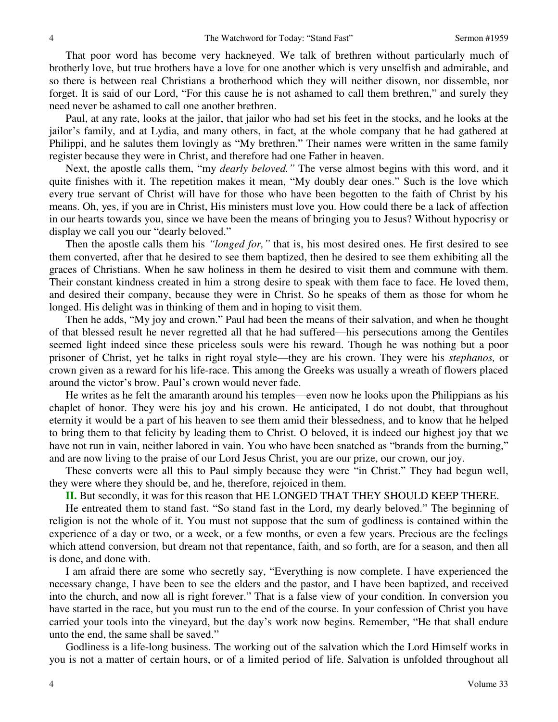That poor word has become very hackneyed. We talk of brethren without particularly much of brotherly love, but true brothers have a love for one another which is very unselfish and admirable, and so there is between real Christians a brotherhood which they will neither disown, nor dissemble, nor forget. It is said of our Lord, "For this cause he is not ashamed to call them brethren," and surely they need never be ashamed to call one another brethren.

Paul, at any rate, looks at the jailor, that jailor who had set his feet in the stocks, and he looks at the jailor's family, and at Lydia, and many others, in fact, at the whole company that he had gathered at Philippi, and he salutes them lovingly as "My brethren." Their names were written in the same family register because they were in Christ, and therefore had one Father in heaven.

Next, the apostle calls them, "my *dearly beloved."* The verse almost begins with this word, and it quite finishes with it. The repetition makes it mean, "My doubly dear ones." Such is the love which every true servant of Christ will have for those who have been begotten to the faith of Christ by his means. Oh, yes, if you are in Christ, His ministers must love you. How could there be a lack of affection in our hearts towards you, since we have been the means of bringing you to Jesus? Without hypocrisy or display we call you our "dearly beloved."

Then the apostle calls them his *"longed for,"* that is, his most desired ones. He first desired to see them converted, after that he desired to see them baptized, then he desired to see them exhibiting all the graces of Christians. When he saw holiness in them he desired to visit them and commune with them. Their constant kindness created in him a strong desire to speak with them face to face. He loved them, and desired their company, because they were in Christ. So he speaks of them as those for whom he longed. His delight was in thinking of them and in hoping to visit them.

Then he adds, "My joy and crown." Paul had been the means of their salvation, and when he thought of that blessed result he never regretted all that he had suffered—his persecutions among the Gentiles seemed light indeed since these priceless souls were his reward. Though he was nothing but a poor prisoner of Christ, yet he talks in right royal style—they are his crown. They were his *stephanos,* or crown given as a reward for his life-race. This among the Greeks was usually a wreath of flowers placed around the victor's brow. Paul's crown would never fade.

He writes as he felt the amaranth around his temples—even now he looks upon the Philippians as his chaplet of honor. They were his joy and his crown. He anticipated, I do not doubt, that throughout eternity it would be a part of his heaven to see them amid their blessedness, and to know that he helped to bring them to that felicity by leading them to Christ. O beloved, it is indeed our highest joy that we have not run in vain, neither labored in vain. You who have been snatched as "brands from the burning," and are now living to the praise of our Lord Jesus Christ, you are our prize, our crown, our joy.

These converts were all this to Paul simply because they were "in Christ." They had begun well, they were where they should be, and he, therefore, rejoiced in them.

**II.** But secondly, it was for this reason that HE LONGED THAT THEY SHOULD KEEP THERE.

He entreated them to stand fast. "So stand fast in the Lord, my dearly beloved." The beginning of religion is not the whole of it. You must not suppose that the sum of godliness is contained within the experience of a day or two, or a week, or a few months, or even a few years. Precious are the feelings which attend conversion, but dream not that repentance, faith, and so forth, are for a season, and then all is done, and done with.

I am afraid there are some who secretly say, "Everything is now complete. I have experienced the necessary change, I have been to see the elders and the pastor, and I have been baptized, and received into the church, and now all is right forever." That is a false view of your condition. In conversion you have started in the race, but you must run to the end of the course. In your confession of Christ you have carried your tools into the vineyard, but the day's work now begins. Remember, "He that shall endure unto the end, the same shall be saved."

Godliness is a life-long business. The working out of the salvation which the Lord Himself works in you is not a matter of certain hours, or of a limited period of life. Salvation is unfolded throughout all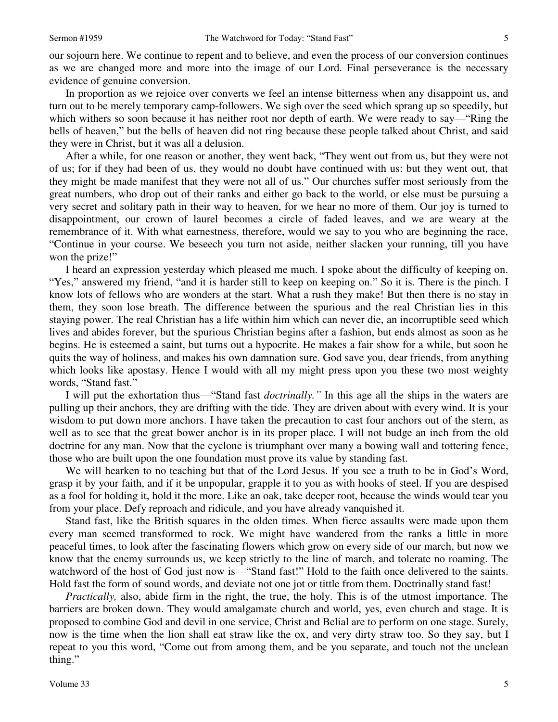our sojourn here. We continue to repent and to believe, and even the process of our conversion continues as we are changed more and more into the image of our Lord. Final perseverance is the necessary evidence of genuine conversion.

In proportion as we rejoice over converts we feel an intense bitterness when any disappoint us, and turn out to be merely temporary camp-followers. We sigh over the seed which sprang up so speedily, but which withers so soon because it has neither root nor depth of earth. We were ready to say—"Ring the bells of heaven," but the bells of heaven did not ring because these people talked about Christ, and said they were in Christ, but it was all a delusion.

After a while, for one reason or another, they went back, "They went out from us, but they were not of us; for if they had been of us, they would no doubt have continued with us: but they went out, that they might be made manifest that they were not all of us." Our churches suffer most seriously from the great numbers, who drop out of their ranks and either go back to the world, or else must be pursuing a very secret and solitary path in their way to heaven, for we hear no more of them. Our joy is turned to disappointment, our crown of laurel becomes a circle of faded leaves, and we are weary at the remembrance of it. With what earnestness, therefore, would we say to you who are beginning the race, "Continue in your course. We beseech you turn not aside, neither slacken your running, till you have won the prize!"

I heard an expression yesterday which pleased me much. I spoke about the difficulty of keeping on. "Yes," answered my friend, "and it is harder still to keep on keeping on." So it is. There is the pinch. I know lots of fellows who are wonders at the start. What a rush they make! But then there is no stay in them, they soon lose breath. The difference between the spurious and the real Christian lies in this staying power. The real Christian has a life within him which can never die, an incorruptible seed which lives and abides forever, but the spurious Christian begins after a fashion, but ends almost as soon as he begins. He is esteemed a saint, but turns out a hypocrite. He makes a fair show for a while, but soon he quits the way of holiness, and makes his own damnation sure. God save you, dear friends, from anything which looks like apostasy. Hence I would with all my might press upon you these two most weighty words, "Stand fast."

I will put the exhortation thus—"Stand fast *doctrinally."* In this age all the ships in the waters are pulling up their anchors, they are drifting with the tide. They are driven about with every wind. It is your wisdom to put down more anchors. I have taken the precaution to cast four anchors out of the stern, as well as to see that the great bower anchor is in its proper place. I will not budge an inch from the old doctrine for any man. Now that the cyclone is triumphant over many a bowing wall and tottering fence, those who are built upon the one foundation must prove its value by standing fast.

We will hearken to no teaching but that of the Lord Jesus. If you see a truth to be in God's Word, grasp it by your faith, and if it be unpopular, grapple it to you as with hooks of steel. If you are despised as a fool for holding it, hold it the more. Like an oak, take deeper root, because the winds would tear you from your place. Defy reproach and ridicule, and you have already vanquished it.

Stand fast, like the British squares in the olden times. When fierce assaults were made upon them every man seemed transformed to rock. We might have wandered from the ranks a little in more peaceful times, to look after the fascinating flowers which grow on every side of our march, but now we know that the enemy surrounds us, we keep strictly to the line of march, and tolerate no roaming. The watchword of the host of God just now is—"Stand fast!" Hold to the faith once delivered to the saints. Hold fast the form of sound words, and deviate not one jot or tittle from them. Doctrinally stand fast!

*Practically,* also, abide firm in the right, the true, the holy. This is of the utmost importance. The barriers are broken down. They would amalgamate church and world, yes, even church and stage. It is proposed to combine God and devil in one service, Christ and Belial are to perform on one stage. Surely, now is the time when the lion shall eat straw like the ox, and very dirty straw too. So they say, but I repeat to you this word, "Come out from among them, and be you separate, and touch not the unclean thing."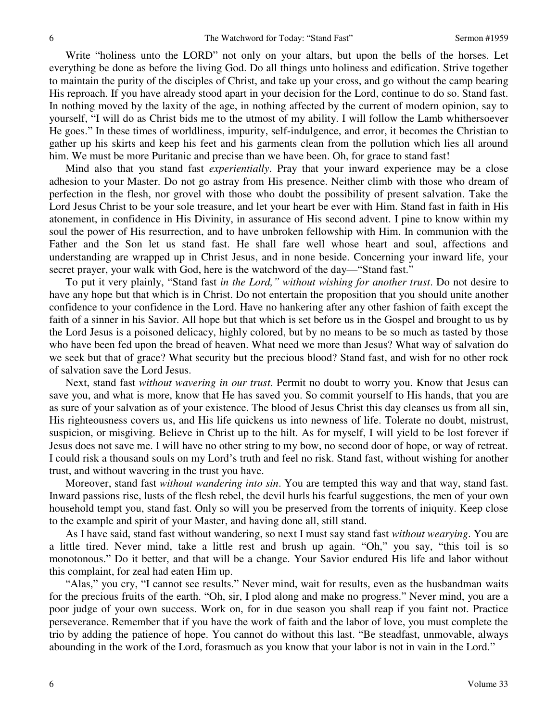Write "holiness unto the LORD" not only on your altars, but upon the bells of the horses. Let everything be done as before the living God. Do all things unto holiness and edification. Strive together to maintain the purity of the disciples of Christ, and take up your cross, and go without the camp bearing His reproach. If you have already stood apart in your decision for the Lord, continue to do so. Stand fast. In nothing moved by the laxity of the age, in nothing affected by the current of modern opinion, say to yourself, "I will do as Christ bids me to the utmost of my ability. I will follow the Lamb whithersoever He goes." In these times of worldliness, impurity, self-indulgence, and error, it becomes the Christian to gather up his skirts and keep his feet and his garments clean from the pollution which lies all around him. We must be more Puritanic and precise than we have been. Oh, for grace to stand fast!

Mind also that you stand fast *experientially*. Pray that your inward experience may be a close adhesion to your Master. Do not go astray from His presence. Neither climb with those who dream of perfection in the flesh, nor grovel with those who doubt the possibility of present salvation. Take the Lord Jesus Christ to be your sole treasure, and let your heart be ever with Him. Stand fast in faith in His atonement, in confidence in His Divinity, in assurance of His second advent. I pine to know within my soul the power of His resurrection, and to have unbroken fellowship with Him. In communion with the Father and the Son let us stand fast. He shall fare well whose heart and soul, affections and understanding are wrapped up in Christ Jesus, and in none beside. Concerning your inward life, your secret prayer, your walk with God, here is the watchword of the day—"Stand fast."

To put it very plainly, "Stand fast *in the Lord," without wishing for another trust*. Do not desire to have any hope but that which is in Christ. Do not entertain the proposition that you should unite another confidence to your confidence in the Lord. Have no hankering after any other fashion of faith except the faith of a sinner in his Savior. All hope but that which is set before us in the Gospel and brought to us by the Lord Jesus is a poisoned delicacy, highly colored, but by no means to be so much as tasted by those who have been fed upon the bread of heaven. What need we more than Jesus? What way of salvation do we seek but that of grace? What security but the precious blood? Stand fast, and wish for no other rock of salvation save the Lord Jesus.

Next, stand fast *without wavering in our trust*. Permit no doubt to worry you. Know that Jesus can save you, and what is more, know that He has saved you. So commit yourself to His hands, that you are as sure of your salvation as of your existence. The blood of Jesus Christ this day cleanses us from all sin, His righteousness covers us, and His life quickens us into newness of life. Tolerate no doubt, mistrust, suspicion, or misgiving. Believe in Christ up to the hilt. As for myself, I will yield to be lost forever if Jesus does not save me. I will have no other string to my bow, no second door of hope, or way of retreat. I could risk a thousand souls on my Lord's truth and feel no risk. Stand fast, without wishing for another trust, and without wavering in the trust you have.

Moreover, stand fast *without wandering into sin*. You are tempted this way and that way, stand fast. Inward passions rise, lusts of the flesh rebel, the devil hurls his fearful suggestions, the men of your own household tempt you, stand fast. Only so will you be preserved from the torrents of iniquity. Keep close to the example and spirit of your Master, and having done all, still stand.

As I have said, stand fast without wandering, so next I must say stand fast *without wearying*. You are a little tired. Never mind, take a little rest and brush up again. "Oh," you say, "this toil is so monotonous." Do it better, and that will be a change. Your Savior endured His life and labor without this complaint, for zeal had eaten Him up.

"Alas," you cry, "I cannot see results." Never mind, wait for results, even as the husbandman waits for the precious fruits of the earth. "Oh, sir, I plod along and make no progress." Never mind, you are a poor judge of your own success. Work on, for in due season you shall reap if you faint not. Practice perseverance. Remember that if you have the work of faith and the labor of love, you must complete the trio by adding the patience of hope. You cannot do without this last. "Be steadfast, unmovable, always abounding in the work of the Lord, forasmuch as you know that your labor is not in vain in the Lord."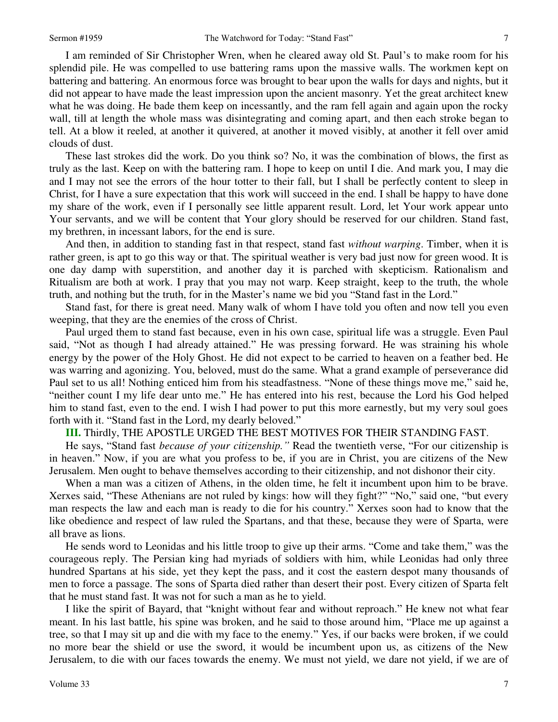I am reminded of Sir Christopher Wren, when he cleared away old St. Paul's to make room for his splendid pile. He was compelled to use battering rams upon the massive walls. The workmen kept on battering and battering. An enormous force was brought to bear upon the walls for days and nights, but it did not appear to have made the least impression upon the ancient masonry. Yet the great architect knew what he was doing. He bade them keep on incessantly, and the ram fell again and again upon the rocky wall, till at length the whole mass was disintegrating and coming apart, and then each stroke began to tell. At a blow it reeled, at another it quivered, at another it moved visibly, at another it fell over amid clouds of dust.

These last strokes did the work. Do you think so? No, it was the combination of blows, the first as truly as the last. Keep on with the battering ram. I hope to keep on until I die. And mark you, I may die and I may not see the errors of the hour totter to their fall, but I shall be perfectly content to sleep in Christ, for I have a sure expectation that this work will succeed in the end. I shall be happy to have done my share of the work, even if I personally see little apparent result. Lord, let Your work appear unto Your servants, and we will be content that Your glory should be reserved for our children. Stand fast, my brethren, in incessant labors, for the end is sure.

And then, in addition to standing fast in that respect, stand fast *without warping*. Timber, when it is rather green, is apt to go this way or that. The spiritual weather is very bad just now for green wood. It is one day damp with superstition, and another day it is parched with skepticism. Rationalism and Ritualism are both at work. I pray that you may not warp. Keep straight, keep to the truth, the whole truth, and nothing but the truth, for in the Master's name we bid you "Stand fast in the Lord."

Stand fast, for there is great need. Many walk of whom I have told you often and now tell you even weeping, that they are the enemies of the cross of Christ.

Paul urged them to stand fast because, even in his own case, spiritual life was a struggle. Even Paul said, "Not as though I had already attained." He was pressing forward. He was straining his whole energy by the power of the Holy Ghost. He did not expect to be carried to heaven on a feather bed. He was warring and agonizing. You, beloved, must do the same. What a grand example of perseverance did Paul set to us all! Nothing enticed him from his steadfastness. "None of these things move me," said he, "neither count I my life dear unto me." He has entered into his rest, because the Lord his God helped him to stand fast, even to the end. I wish I had power to put this more earnestly, but my very soul goes forth with it. "Stand fast in the Lord, my dearly beloved."

#### **III.** Thirdly, THE APOSTLE URGED THE BEST MOTIVES FOR THEIR STANDING FAST.

He says, "Stand fast *because of your citizenship."* Read the twentieth verse, "For our citizenship is in heaven." Now, if you are what you profess to be, if you are in Christ, you are citizens of the New Jerusalem. Men ought to behave themselves according to their citizenship, and not dishonor their city.

When a man was a citizen of Athens, in the olden time, he felt it incumbent upon him to be brave. Xerxes said, "These Athenians are not ruled by kings: how will they fight?" "No," said one, "but every man respects the law and each man is ready to die for his country." Xerxes soon had to know that the like obedience and respect of law ruled the Spartans, and that these, because they were of Sparta, were all brave as lions.

He sends word to Leonidas and his little troop to give up their arms. "Come and take them," was the courageous reply. The Persian king had myriads of soldiers with him, while Leonidas had only three hundred Spartans at his side, yet they kept the pass, and it cost the eastern despot many thousands of men to force a passage. The sons of Sparta died rather than desert their post. Every citizen of Sparta felt that he must stand fast. It was not for such a man as he to yield.

I like the spirit of Bayard, that "knight without fear and without reproach." He knew not what fear meant. In his last battle, his spine was broken, and he said to those around him, "Place me up against a tree, so that I may sit up and die with my face to the enemy." Yes, if our backs were broken, if we could no more bear the shield or use the sword, it would be incumbent upon us, as citizens of the New Jerusalem, to die with our faces towards the enemy. We must not yield, we dare not yield, if we are of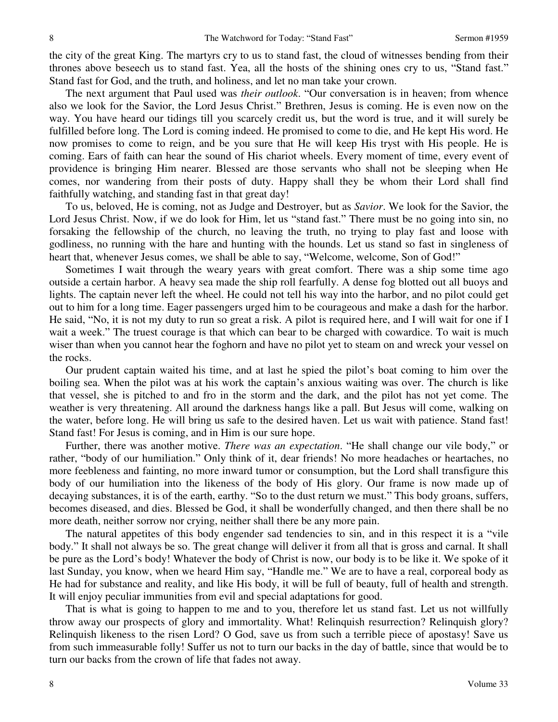the city of the great King. The martyrs cry to us to stand fast, the cloud of witnesses bending from their thrones above beseech us to stand fast. Yea, all the hosts of the shining ones cry to us, "Stand fast." Stand fast for God, and the truth, and holiness, and let no man take your crown.

The next argument that Paul used was *their outlook*. "Our conversation is in heaven; from whence also we look for the Savior, the Lord Jesus Christ." Brethren, Jesus is coming. He is even now on the way. You have heard our tidings till you scarcely credit us, but the word is true, and it will surely be fulfilled before long. The Lord is coming indeed. He promised to come to die, and He kept His word. He now promises to come to reign, and be you sure that He will keep His tryst with His people. He is coming. Ears of faith can hear the sound of His chariot wheels. Every moment of time, every event of providence is bringing Him nearer. Blessed are those servants who shall not be sleeping when He comes, nor wandering from their posts of duty. Happy shall they be whom their Lord shall find faithfully watching, and standing fast in that great day!

To us, beloved, He is coming, not as Judge and Destroyer, but as *Savior*. We look for the Savior, the Lord Jesus Christ. Now, if we do look for Him, let us "stand fast." There must be no going into sin, no forsaking the fellowship of the church, no leaving the truth, no trying to play fast and loose with godliness, no running with the hare and hunting with the hounds. Let us stand so fast in singleness of heart that, whenever Jesus comes, we shall be able to say, "Welcome, welcome, Son of God!"

Sometimes I wait through the weary years with great comfort. There was a ship some time ago outside a certain harbor. A heavy sea made the ship roll fearfully. A dense fog blotted out all buoys and lights. The captain never left the wheel. He could not tell his way into the harbor, and no pilot could get out to him for a long time. Eager passengers urged him to be courageous and make a dash for the harbor. He said, "No, it is not my duty to run so great a risk. A pilot is required here, and I will wait for one if I wait a week." The truest courage is that which can bear to be charged with cowardice. To wait is much wiser than when you cannot hear the foghorn and have no pilot yet to steam on and wreck your vessel on the rocks.

Our prudent captain waited his time, and at last he spied the pilot's boat coming to him over the boiling sea. When the pilot was at his work the captain's anxious waiting was over. The church is like that vessel, she is pitched to and fro in the storm and the dark, and the pilot has not yet come. The weather is very threatening. All around the darkness hangs like a pall. But Jesus will come, walking on the water, before long. He will bring us safe to the desired haven. Let us wait with patience. Stand fast! Stand fast! For Jesus is coming, and in Him is our sure hope.

Further, there was another motive. *There was an expectation*. "He shall change our vile body," or rather, "body of our humiliation." Only think of it, dear friends! No more headaches or heartaches, no more feebleness and fainting, no more inward tumor or consumption, but the Lord shall transfigure this body of our humiliation into the likeness of the body of His glory. Our frame is now made up of decaying substances, it is of the earth, earthy. "So to the dust return we must." This body groans, suffers, becomes diseased, and dies. Blessed be God, it shall be wonderfully changed, and then there shall be no more death, neither sorrow nor crying, neither shall there be any more pain.

The natural appetites of this body engender sad tendencies to sin, and in this respect it is a "vile body." It shall not always be so. The great change will deliver it from all that is gross and carnal. It shall be pure as the Lord's body! Whatever the body of Christ is now, our body is to be like it. We spoke of it last Sunday, you know, when we heard Him say, "Handle me." We are to have a real, corporeal body as He had for substance and reality, and like His body, it will be full of beauty, full of health and strength. It will enjoy peculiar immunities from evil and special adaptations for good.

That is what is going to happen to me and to you, therefore let us stand fast. Let us not willfully throw away our prospects of glory and immortality. What! Relinquish resurrection? Relinquish glory? Relinquish likeness to the risen Lord? O God, save us from such a terrible piece of apostasy! Save us from such immeasurable folly! Suffer us not to turn our backs in the day of battle, since that would be to turn our backs from the crown of life that fades not away.